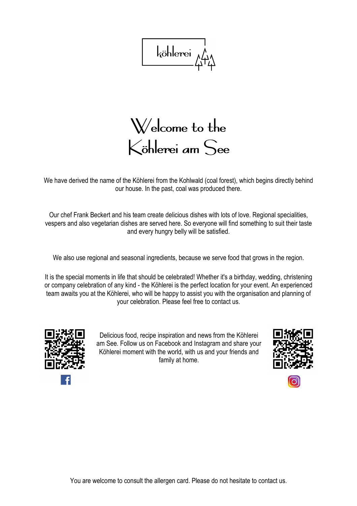köhlerei

Welcome to the Köhlerei am See

We have derived the name of the Köhlerei from the Kohlwald (coal forest), which begins directly behind our house. In the past, coal was produced there.

Our chef Frank Beckert and his team create delicious dishes with lots of love. Regional specialities, vespers and also vegetarian dishes are served here. So everyone will find something to suit their taste and every hungry belly will be satisfied.

We also use regional and seasonal ingredients, because we serve food that grows in the region.

It is the special moments in life that should be celebrated! Whether it's a birthday, wedding, christening or company celebration of any kind - the Köhlerei is the perfect location for your event. An experienced team awaits you at the Köhlerei, who will be happy to assist you with the organisation and planning of your celebration. Please feel free to contact us.



Delicious food, recipe inspiration and news from the Köhlerei am See. Follow us on Facebook and Instagram and share your Köhlerei moment with the world, with us and your friends and family at home.



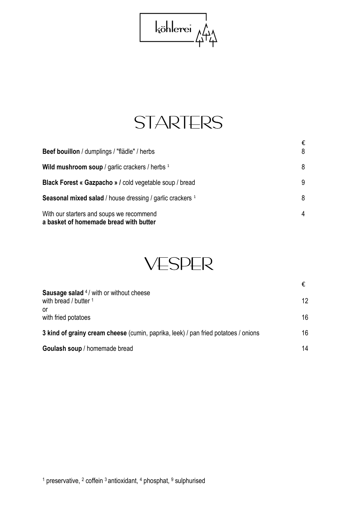



|                                                                                    | €  |
|------------------------------------------------------------------------------------|----|
| Beef bouillon / dumplings / "flädle" / herbs                                       | 8  |
| Wild mushroom soup / garlic crackers / herbs $1$                                   | 8  |
| <b>Black Forest « Gazpacho » / cold vegetable soup / bread</b>                     | -9 |
| Seasonal mixed salad / house dressing / garlic crackers <sup>1</sup>               | 8  |
| With our starters and soups we recommend<br>a basket of homemade bread with butter | 4  |



|                                                                                    | €               |
|------------------------------------------------------------------------------------|-----------------|
| <b>Sausage salad</b> 4/ with or without cheese<br>with bread / butter 1            | 12 <sup>°</sup> |
| or<br>with fried potatoes                                                          | 16              |
| 3 kind of grainy cream cheese (cumin, paprika, leek) / pan fried potatoes / onions | 16              |
| Goulash soup / homemade bread                                                      | 14              |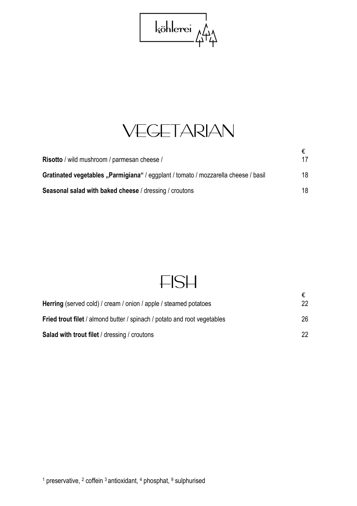

## VEGETARIAN

| Risotto / wild mushroom / parmesan cheese /                                        | 17  |
|------------------------------------------------------------------------------------|-----|
| Gratinated vegetables "Parmigiana" / eggplant / tomato / mozzarella cheese / basil | 18  |
| <b>Seasonal salad with baked cheese / dressing / croutons</b>                      | 18. |

### FISH

| <b>Herring</b> (served cold) / cream / onion / apple / steamed potatoes  | €<br>22 |
|--------------------------------------------------------------------------|---------|
| Fried trout filet / almond butter / spinach / potato and root vegetables | 26      |
| <b>Salad with trout filet / dressing / croutons</b>                      | 22      |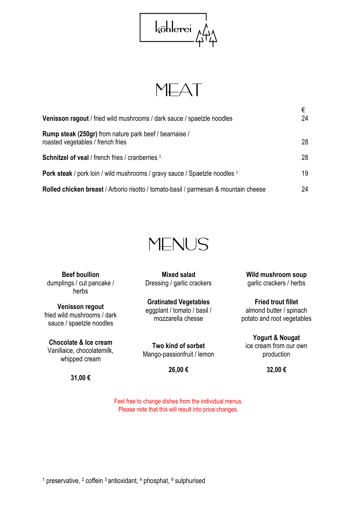

MEAT

| <b>Venisson ragout</b> / fried wild mushrooms / dark sauce / spaetzle noodles                | €<br>24 |
|----------------------------------------------------------------------------------------------|---------|
| Rump steak (250gr) from nature park beef / bearnaise /<br>roasted vegetables / french fries  | 28      |
| <b>Schnitzel of yeal</b> / french fries / cranberries <sup>1</sup>                           | 28      |
| <b>Pork steak</b> / pork loin / wild mushrooms / gravy sauce / Spaetzle noodles <sup>1</sup> | 19      |
| Rolled chicken breast / Arborio risotto / tomato-basil / parmesan & mountain cheese          | 24      |



**Beef boullion**  dumplings / cut pancake / herbs

**Venisson regout**  fried wild mushrooms / dark sauce / spaetzle noodles

**Chocolate & Ice cream**  Vanillaice, chocolatemilk, whipped cream

**31,00 €** 

**Mixed salad**  Dressing / garlic crackers

**Gratinated Vegetables**  eggplant / tomato / basil / mozzarella chesse

**Two kind of sorbet**  Mango-passionfruit / lemon

**26,00 €** 

**32,00 €** 

**Yogurt & Nougat**  ice cream from our own production

**Wild mushroom soup**  garlic crackers / herbs

**Fried trout fillet**  almond butter / spinach potato and root vegetables

Feel free to change dishes from the individual menus. Please note that this will result into price changes.

<sup>1</sup> preservative, <sup>2</sup> coffein <sup>3</sup> antioxidant, <sup>4</sup> phosphat, <sup>9</sup> sulphurised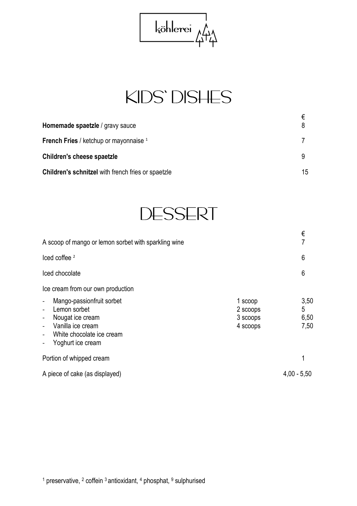

# KIDS' DISHES

| Homemade spaetzle / gravy sauce                           |    |
|-----------------------------------------------------------|----|
| <b>French Fries / ketchup or mayonnaise</b> <sup>1</sup>  |    |
| Children's cheese spaetzle                                |    |
| <b>Children's schnitzel</b> with french fries or spaetzle | 15 |



| A scoop of mango or lemon sorbet with sparkling wine                                                                                      |                                             | €<br>7                    |
|-------------------------------------------------------------------------------------------------------------------------------------------|---------------------------------------------|---------------------------|
| $l$ ced coffee $2$                                                                                                                        |                                             | 6                         |
| Iced chocolate                                                                                                                            |                                             | 6                         |
| Ice cream from our own production<br>Mango-passionfruit sorbet<br>$\blacksquare$<br>Lemon sorbet<br>Nougat ice cream<br>Vanilla ice cream | 1 scoop<br>2 scoops<br>3 scoops<br>4 scoops | 3,50<br>5<br>6,50<br>7,50 |
| White chocolate ice cream<br>$\overline{\phantom{a}}$<br>Yoghurt ice cream                                                                |                                             |                           |
| Portion of whipped cream                                                                                                                  |                                             | 1                         |
| A piece of cake (as displayed)                                                                                                            |                                             | $4,00 - 5,50$             |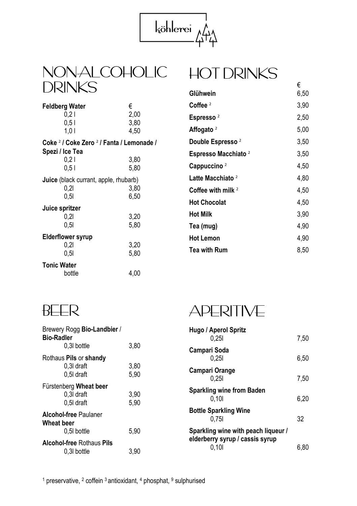

#### NON-ALCOHOLIC **DRINKS**

#### **Feldberg Water** €  $0,21$  2,00<br>0.5 l 3.80  $0,5$  l<br> $1,0$  l 4,50 **Coke** <sup>2</sup>  **/ Coke Zero** <sup>2</sup>  **/ Fanta / Lemonade / Spezi / Ice Tea**  0,2 l 3,80<br>0.5 l 5.80  $0.51$ **Juice** (black currant, apple, rhubarb)<br>0.2l 3.80 0,2l 3,80<br>0.5l 6.50 0,5l 6,50 **Juice spritzer**   $\overline{0,2}$ l 3,20 0,5l 5,80 **Elderflower syrup**  0,2l 3,20 0,5l 5,80 **Tonic Water**  bottle 4,00

| €    |
|------|
| 6,50 |
| 3,90 |
| 2,50 |
| 5,00 |
| 3,50 |
| 3,50 |
| 4,50 |
| 4,80 |
| 4,50 |
| 4,50 |
| 3,90 |
| 4,90 |
| 4,90 |
| 8,50 |
|      |

HOT DRINKS

#### BEER

| Brewery Rogg Bio-Landbier /<br>Bio-Radler                 |              |
|-----------------------------------------------------------|--------------|
| 0.3I bottle                                               | 3,80         |
| Rothaus Pils or shandy<br>0,3I draft<br>0.5I draft        | 3,80<br>5,90 |
| Fürstenberg Wheat beer<br>0,3I draft<br>0.5I draft        | 3,90<br>5,90 |
| <b>Alcohol-free Paulaner</b><br>Wheat beer<br>0.5I bottle | 5,90         |
| <b>Alcohol-free Rothaus Pils</b><br>0.3I bottle           | 3,90         |

APERITIVE

| Hugo / Aperol Spritz<br>0.251                                          | 7,50 |
|------------------------------------------------------------------------|------|
| Campari Soda<br>0.251                                                  | 6.50 |
| Campari Orange<br>0.251                                                | 7,50 |
| <b>Sparkling wine from Baden</b><br>0.101                              | 6.20 |
| <b>Bottle Sparkling Wine</b><br>0.75                                   | 32   |
| Sparkling wine with peach liqueur /<br>elderberry syrup / cassis syrup |      |
| 0.101                                                                  | 6.80 |